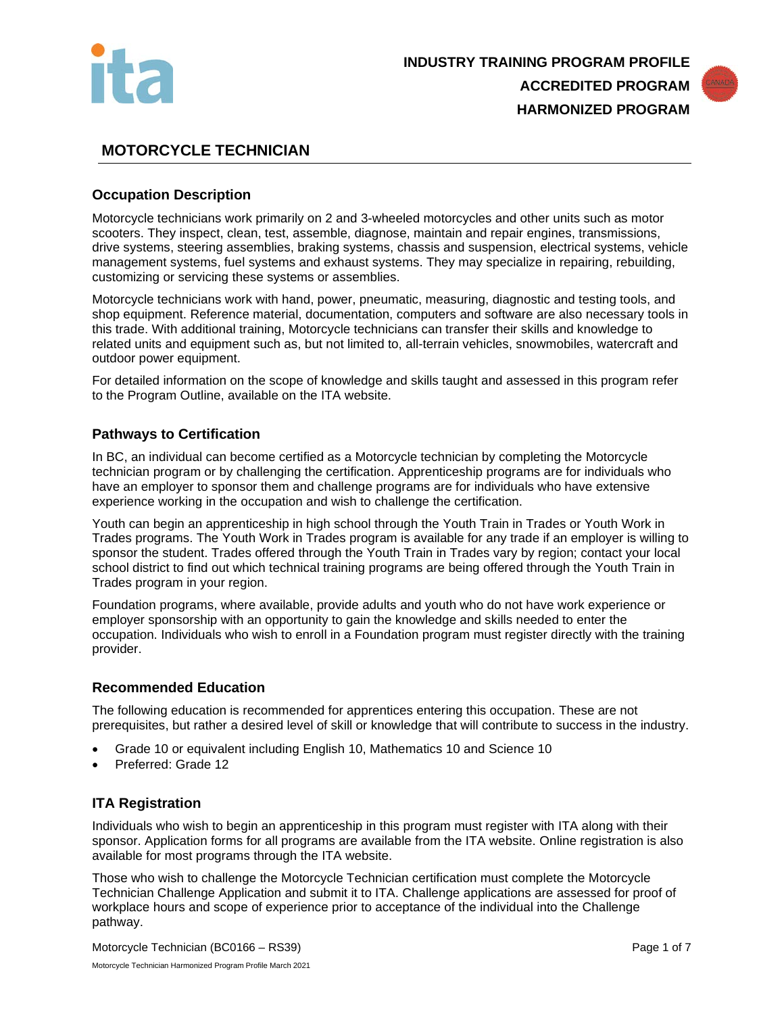



# **MOTORCYCLE TECHNICIAN**

## **Occupation Description**

Motorcycle technicians work primarily on 2 and 3-wheeled motorcycles and other units such as motor scooters. They inspect, clean, test, assemble, diagnose, maintain and repair engines, transmissions, drive systems, steering assemblies, braking systems, chassis and suspension, electrical systems, vehicle management systems, fuel systems and exhaust systems. They may specialize in repairing, rebuilding, customizing or servicing these systems or assemblies.

Motorcycle technicians work with hand, power, pneumatic, measuring, diagnostic and testing tools, and shop equipment. Reference material, documentation, computers and software are also necessary tools in this trade. With additional training, Motorcycle technicians can transfer their skills and knowledge to related units and equipment such as, but not limited to, all-terrain vehicles, snowmobiles, watercraft and outdoor power equipment.

For detailed information on the scope of knowledge and skills taught and assessed in this program refer to the Program Outline, available on the ITA website.

## **Pathways to Certification**

In BC, an individual can become certified as a Motorcycle technician by completing the Motorcycle technician program or by challenging the certification. Apprenticeship programs are for individuals who have an employer to sponsor them and challenge programs are for individuals who have extensive experience working in the occupation and wish to challenge the certification.

Youth can begin an apprenticeship in high school through the Youth Train in Trades or Youth Work in Trades programs. The Youth Work in Trades program is available for any trade if an employer is willing to sponsor the student. Trades offered through the Youth Train in Trades vary by region; contact your local school district to find out which technical training programs are being offered through the Youth Train in Trades program in your region.

Foundation programs, where available, provide adults and youth who do not have work experience or employer sponsorship with an opportunity to gain the knowledge and skills needed to enter the occupation. Individuals who wish to enroll in a Foundation program must register directly with the training provider.

## **Recommended Education**

The following education is recommended for apprentices entering this occupation. These are not prerequisites, but rather a desired level of skill or knowledge that will contribute to success in the industry.

- Grade 10 or equivalent including English 10, Mathematics 10 and Science 10
- Preferred: Grade 12

## **ITA Registration**

Individuals who wish to begin an apprenticeship in this program must register with ITA along with their sponsor. Application forms for all programs are available from the ITA website. Online registration is also available for most programs through the ITA website.

Those who wish to challenge the Motorcycle Technician certification must complete the Motorcycle Technician Challenge Application and submit it to ITA. Challenge applications are assessed for proof of workplace hours and scope of experience prior to acceptance of the individual into the Challenge pathway.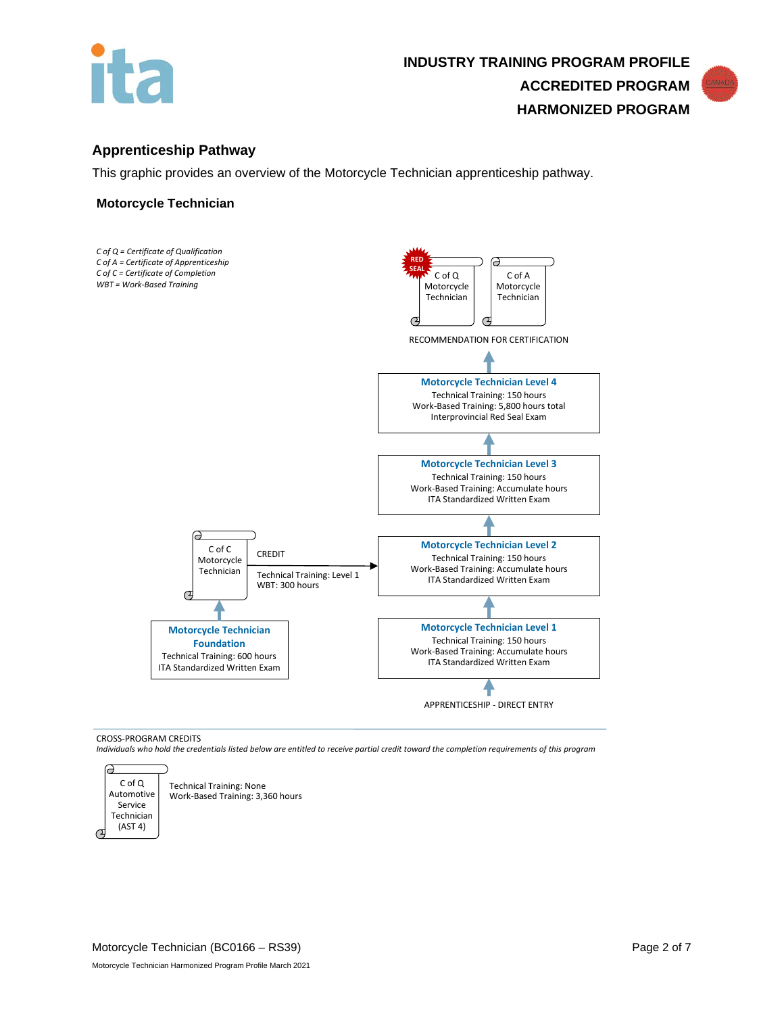



This graphic provides an overview of the Motorcycle Technician apprenticeship pathway.

### **Motorcycle Technician**



CROSS-PROGRAM CREDITS

*Individuals who hold the credentials listed below are entitled to receive partial credit toward the completion requirements of this program*



Technical Training: None Work-Based Training: 3,360 hours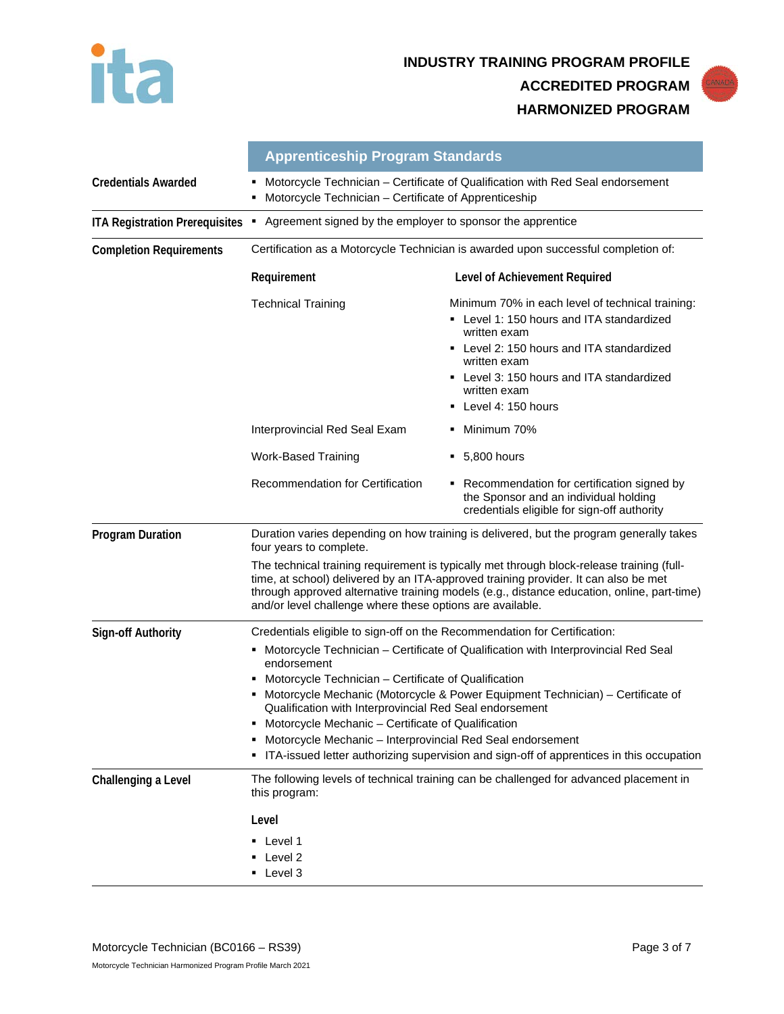

**INDUSTRY TRAINING PROGRAM PROFILE ACCREDITED PROGRAM HARMONIZED PROGRAM**



|                                       | <b>Apprenticeship Program Standards</b>                                                                                                                                                                                                                                                                                                     |                                                                                                                                                                                                                                                         |  |
|---------------------------------------|---------------------------------------------------------------------------------------------------------------------------------------------------------------------------------------------------------------------------------------------------------------------------------------------------------------------------------------------|---------------------------------------------------------------------------------------------------------------------------------------------------------------------------------------------------------------------------------------------------------|--|
| <b>Credentials Awarded</b>            | Motorcycle Technician - Certificate of Qualification with Red Seal endorsement<br>Motorcycle Technician - Certificate of Apprenticeship                                                                                                                                                                                                     |                                                                                                                                                                                                                                                         |  |
| <b>ITA Registration Prerequisites</b> | Agreement signed by the employer to sponsor the apprentice<br>٠                                                                                                                                                                                                                                                                             |                                                                                                                                                                                                                                                         |  |
| <b>Completion Requirements</b>        |                                                                                                                                                                                                                                                                                                                                             | Certification as a Motorcycle Technician is awarded upon successful completion of:                                                                                                                                                                      |  |
|                                       | Requirement                                                                                                                                                                                                                                                                                                                                 | Level of Achievement Required                                                                                                                                                                                                                           |  |
|                                       | <b>Technical Training</b>                                                                                                                                                                                                                                                                                                                   | Minimum 70% in each level of technical training:<br>Level 1: 150 hours and ITA standardized<br>written exam<br>Level 2: 150 hours and ITA standardized<br>written exam<br>Level 3: 150 hours and ITA standardized<br>written exam<br>Level 4: 150 hours |  |
|                                       | Interprovincial Red Seal Exam                                                                                                                                                                                                                                                                                                               | Minimum 70%                                                                                                                                                                                                                                             |  |
|                                       | <b>Work-Based Training</b>                                                                                                                                                                                                                                                                                                                  | 5,800 hours<br>٠                                                                                                                                                                                                                                        |  |
|                                       | <b>Recommendation for Certification</b>                                                                                                                                                                                                                                                                                                     | Recommendation for certification signed by<br>the Sponsor and an individual holding<br>credentials eligible for sign-off authority                                                                                                                      |  |
| <b>Program Duration</b>               | four years to complete.                                                                                                                                                                                                                                                                                                                     | Duration varies depending on how training is delivered, but the program generally takes                                                                                                                                                                 |  |
|                                       | The technical training requirement is typically met through block-release training (full-<br>time, at school) delivered by an ITA-approved training provider. It can also be met<br>through approved alternative training models (e.g., distance education, online, part-time)<br>and/or level challenge where these options are available. |                                                                                                                                                                                                                                                         |  |
| <b>Sign-off Authority</b>             | Credentials eligible to sign-off on the Recommendation for Certification:                                                                                                                                                                                                                                                                   |                                                                                                                                                                                                                                                         |  |
|                                       | Motorcycle Technician - Certificate of Qualification with Interprovincial Red Seal<br>٠<br>endorsement<br>Motorcycle Technician - Certificate of Qualification<br>Motorcycle Mechanic (Motorcycle & Power Equipment Technician) – Certificate of                                                                                            |                                                                                                                                                                                                                                                         |  |
|                                       | Qualification with Interprovincial Red Seal endorsement<br>Motorcycle Mechanic - Certificate of Qualification<br>Motorcycle Mechanic - Interprovincial Red Seal endorsement<br>ITA-issued letter authorizing supervision and sign-off of apprentices in this occupation<br>٠                                                                |                                                                                                                                                                                                                                                         |  |
| Challenging a Level                   | this program:                                                                                                                                                                                                                                                                                                                               | The following levels of technical training can be challenged for advanced placement in                                                                                                                                                                  |  |
|                                       | Level<br>Level 1<br>Level 2<br>• Level 3                                                                                                                                                                                                                                                                                                    |                                                                                                                                                                                                                                                         |  |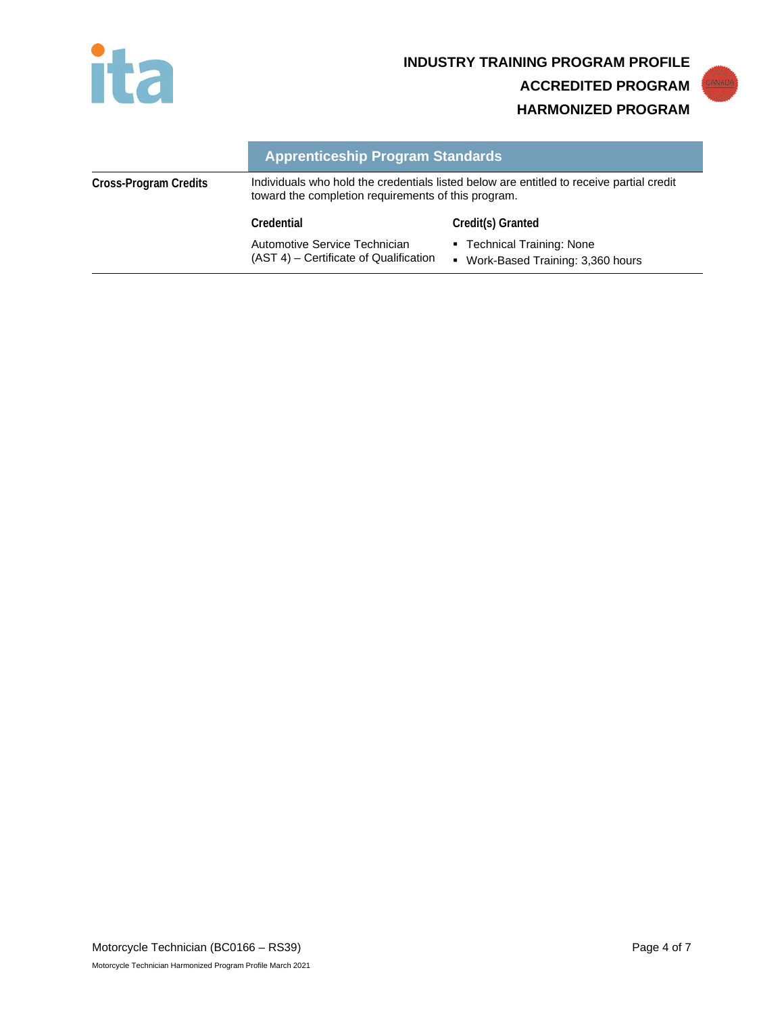

**INDUSTRY TRAINING PROGRAM PROFILE ACCREDITED PROGRAM HARMONIZED PROGRAM**

# **Apprenticeship Program Standards**

| Cross-Program Credits | Individuals who hold the credentials listed below are entitled to receive partial credit<br>toward the completion requirements of this program. |                                                                     |
|-----------------------|-------------------------------------------------------------------------------------------------------------------------------------------------|---------------------------------------------------------------------|
|                       | Credential                                                                                                                                      | Credit(s) Granted                                                   |
|                       | Automotive Service Technician<br>(AST 4) – Certificate of Qualification                                                                         | • Technical Training: None<br>Work-Based Training: 3,360 hours<br>٠ |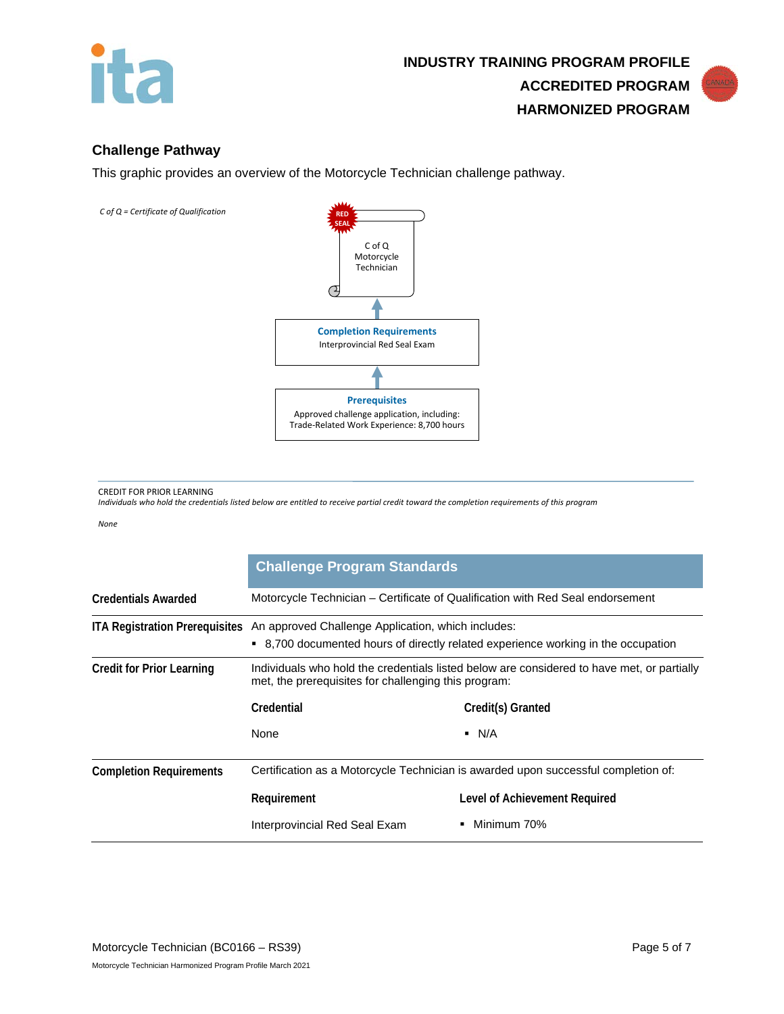

## **Challenge Pathway**

This graphic provides an overview of the Motorcycle Technician challenge pathway.



CREDIT FOR PRIOR LEARNING

*Individuals who hold the credentials listed below are entitled to receive partial credit toward the completion requirements of this program*

*None*

|                                       | <b>Challenge Program Standards</b>                                                                                                                 |                               |  |
|---------------------------------------|----------------------------------------------------------------------------------------------------------------------------------------------------|-------------------------------|--|
| <b>Credentials Awarded</b>            | Motorcycle Technician – Certificate of Qualification with Red Seal endorsement                                                                     |                               |  |
| <b>ITA Registration Prerequisites</b> | An approved Challenge Application, which includes:<br>• 8,700 documented hours of directly related experience working in the occupation            |                               |  |
| Credit for Prior Learning             | Individuals who hold the credentials listed below are considered to have met, or partially<br>met, the prerequisites for challenging this program: |                               |  |
|                                       | Credential                                                                                                                                         | Credit(s) Granted             |  |
|                                       | None                                                                                                                                               | $\blacksquare$ N/A            |  |
| <b>Completion Requirements</b>        | Certification as a Motorcycle Technician is awarded upon successful completion of:                                                                 |                               |  |
|                                       | Requirement                                                                                                                                        | Level of Achievement Required |  |
|                                       | Interprovincial Red Seal Exam                                                                                                                      | Minimum 70%                   |  |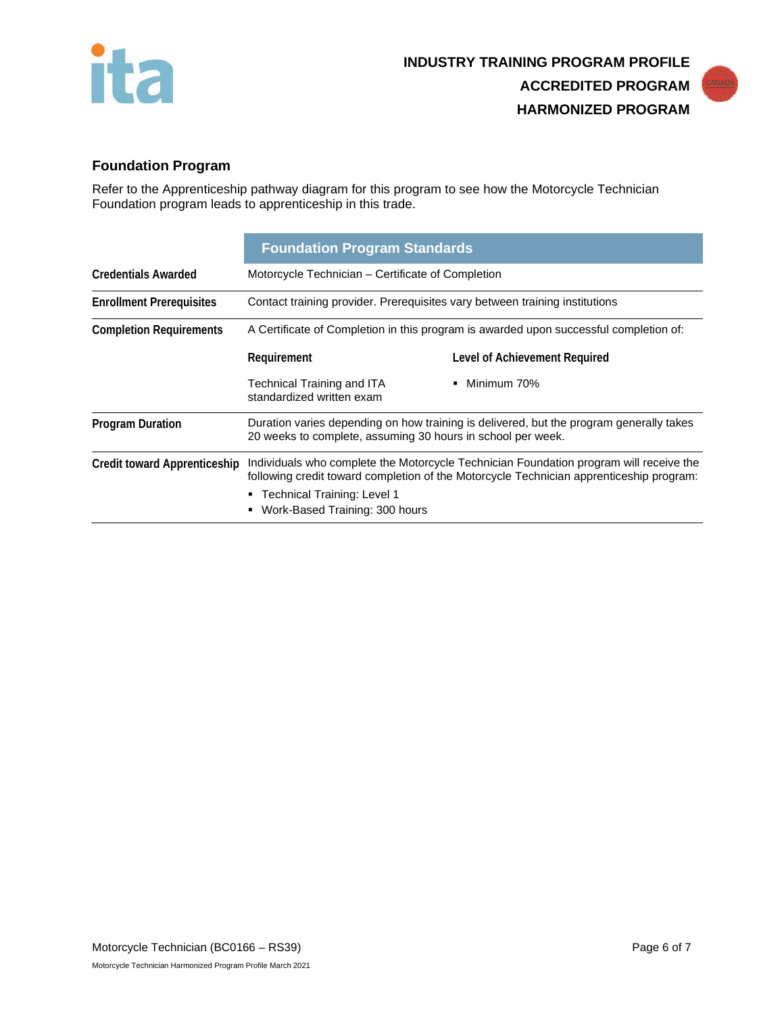



# **Foundation Program**

Refer to the Apprenticeship pathway diagram for this program to see how the Motorcycle Technician Foundation program leads to apprenticeship in this trade.

|                                     | <b>Foundation Program Standards</b>                                                                                                                                                                                                                  |                               |  |
|-------------------------------------|------------------------------------------------------------------------------------------------------------------------------------------------------------------------------------------------------------------------------------------------------|-------------------------------|--|
| <b>Credentials Awarded</b>          | Motorcycle Technician – Certificate of Completion                                                                                                                                                                                                    |                               |  |
| <b>Enrollment Prerequisites</b>     | Contact training provider. Prerequisites vary between training institutions                                                                                                                                                                          |                               |  |
| <b>Completion Requirements</b>      | A Certificate of Completion in this program is awarded upon successful completion of:                                                                                                                                                                |                               |  |
|                                     | Requirement                                                                                                                                                                                                                                          | Level of Achievement Required |  |
|                                     | Technical Training and ITA<br>standardized written exam                                                                                                                                                                                              | $\blacksquare$ Minimum 70%    |  |
| <b>Program Duration</b>             | Duration varies depending on how training is delivered, but the program generally takes<br>20 weeks to complete, assuming 30 hours in school per week.                                                                                               |                               |  |
| <b>Credit toward Apprenticeship</b> | Individuals who complete the Motorcycle Technician Foundation program will receive the<br>following credit toward completion of the Motorcycle Technician apprenticeship program:<br>■ Technical Training: Level 1<br>Work-Based Training: 300 hours |                               |  |